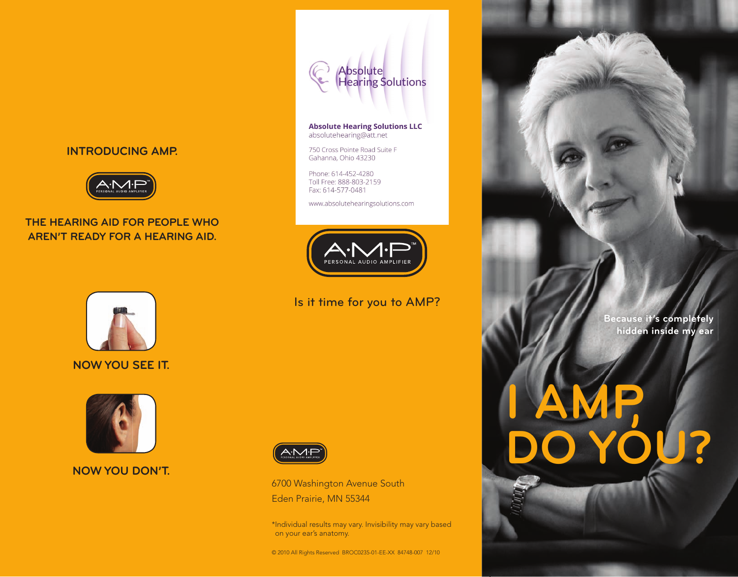### **INTRODUCING AMP.**



## **THE HEARING AID FOR PEOPLE WHO AREN'T READY FOR A HEARING AID.**



# **NOW YOU SEE IT.**



**NOW YOU DON'T.**



#### **Absolute Hearing Solutions LLC** absolutehearing@att.net

750 Cross Pointe Road Suite F Gahanna, Ohio 43230

Phone: 614-452-4280 Toll Free: 888-803-2159 Fax: 614-577-0481

www.absolutehearingsolutions.com



# Is it time for you to AMP?



6700 Washington Avenue South Eden Prairie, MN 55344

\* Individual results may vary. Invisibility may vary based on your ear's anatomy.

© 2010 All Rights Reserved BROC0235-01-EE-XX 84748-007 12/10

**Because it's completely hidden inside my ear**

**I AMP** 

**DO YOU?**